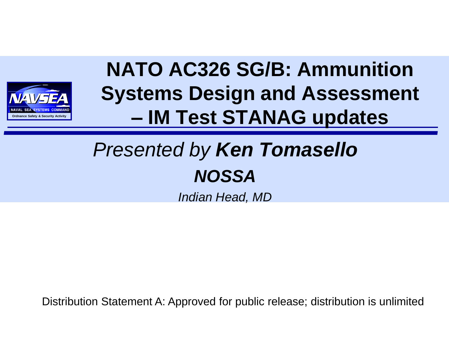

#### **NATO AC326 SG/B: Ammunition Systems Design and Assessment – IM Test STANAG updates**

#### *Presented by Ken Tomasello NOSSA*

*Indian Head, MD*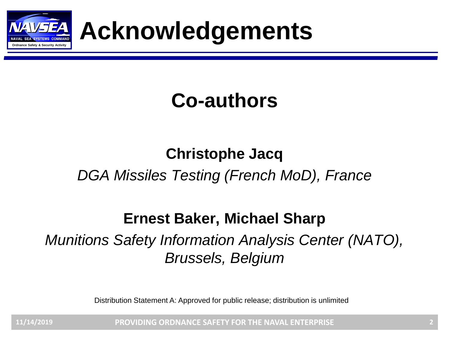

**ORDER ACKNOWLEDGEMENTS** 

#### **Co-authors**

#### **Christophe Jacq** *DGA Missiles Testing (French MoD), France*

#### **Ernest Baker, Michael Sharp**

#### *Munitions Safety Information Analysis Center (NATO), Brussels, Belgium*

Distribution Statement A: Approved for public release; distribution is unlimited

**PROVIDING ORDNANCE SAFETY FOR THE NAVAL ENTERPRISE 11/14/2019 2**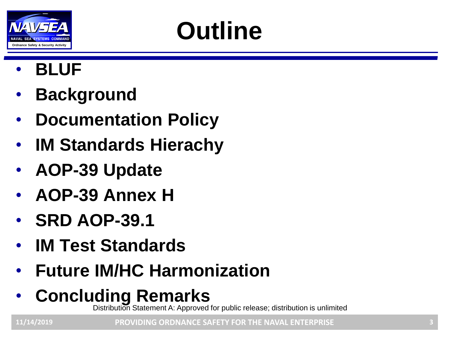

### **Outline**

- **BLUF**
- **Background**
- **Documentation Policy**
- **IM Standards Hierachy**
- **AOP-39 Update**
- **AOP-39 Annex H**
- **SRD AOP-39.1**
- **IM Test Standards**
- **Future IM/HC Harmonization**
- **Concluding Remarks**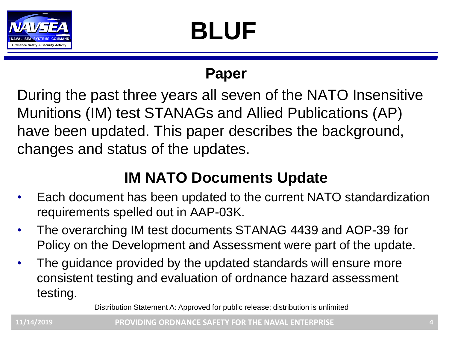

# **BLUF**

#### **Paper**

During the past three years all seven of the NATO Insensitive Munitions (IM) test STANAGs and Allied Publications (AP) have been updated. This paper describes the background, changes and status of the updates.

#### **IM NATO Documents Update**

- Each document has been updated to the current NATO standardization requirements spelled out in AAP-03K.
- The overarching IM test documents STANAG 4439 and AOP-39 for Policy on the Development and Assessment were part of the update.
- The guidance provided by the updated standards will ensure more consistent testing and evaluation of ordnance hazard assessment testing.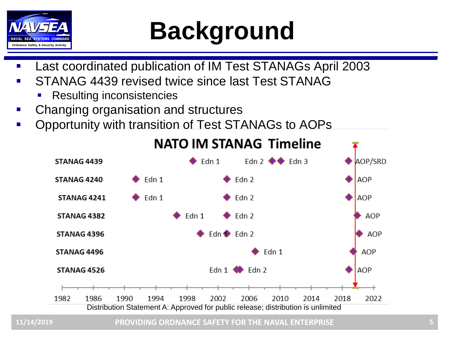

### **CANAL SEA SYSTEMS COMMAND**<br>Ordnance Safety & Security Activity

- Last coordinated publication of IM Test STANAGs April 2003
- STANAG 4439 revised twice since last Test STANAG
	- **Resulting inconsistencies**
- Changing organisation and structures
- Opportunity with transition of Test STANAGs to AOPs



#### **NATO IM STANAG Timeline**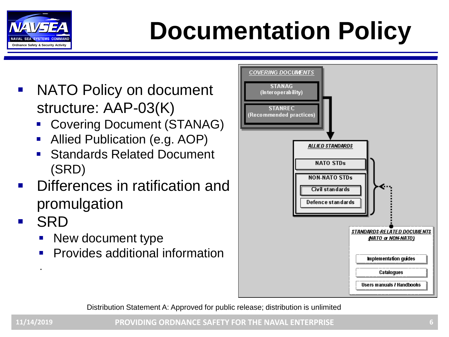

# **Order Cordinate Commanding Respective Activity Commanding Respective Activity Respective Activity Respective Activity**

- NATO Policy on document structure: AAP-03(K)
	- **Covering Document (STANAG)**
	- Allied Publication (e.g. AOP)
	- **Standards Related Document** (SRD)
- Differences in ratification and promulgation
- **SRD**

.

- New document type
- **Provides additional information**

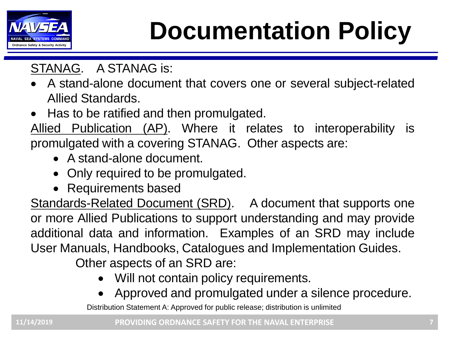

### **Order Cordinate Commanding Respective Activity Commanding Respective Activity Respective Activity Respective Activity**

#### STANAG. A STANAG is:

- A stand-alone document that covers one or several subject-related Allied Standards.
- Has to be ratified and then promulgated.

Allied Publication (AP). Where it relates to interoperability is promulgated with a covering STANAG. Other aspects are:

- A stand-alone document.
- Only required to be promulgated.
- Requirements based

Standards-Related Document (SRD). A document that supports one or more Allied Publications to support understanding and may provide additional data and information. Examples of an SRD may include User Manuals, Handbooks, Catalogues and Implementation Guides.

Other aspects of an SRD are:

- Will not contain policy requirements.
- Approved and promulgated under a silence procedure.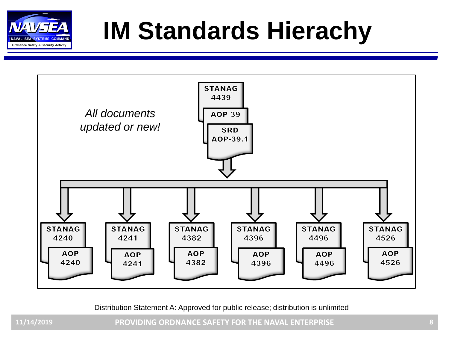

### **IM Standards Hierachy**



Distribution Statement A: Approved for public release; distribution is unlimited

**PROVIDING ORDNANCE SAFETY FOR THE NAVAL ENTERPRISE 11/14/2019 8**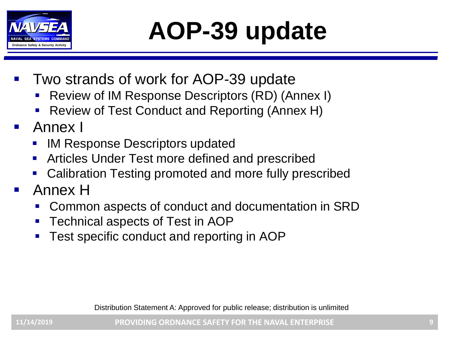

### **AOP-39 update**

- Two strands of work for AOP-39 update
	- Review of IM Response Descriptors (RD) (Annex I)
	- Review of Test Conduct and Reporting (Annex H)
- Annex I
	- **IM Response Descriptors updated**
	- Articles Under Test more defined and prescribed
	- Calibration Testing promoted and more fully prescribed
- Annex H
	- Common aspects of conduct and documentation in SRD
	- Technical aspects of Test in AOP
	- Test specific conduct and reporting in AOP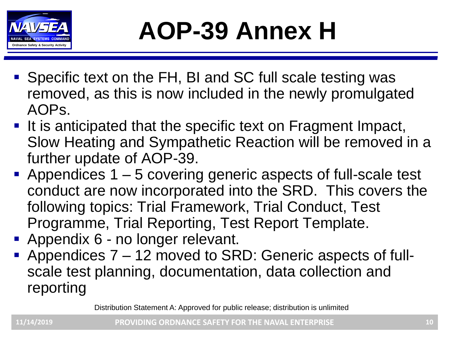

### **AOP-39 Annex H**

- Specific text on the FH, BI and SC full scale testing was removed, as this is now included in the newly promulgated AOPs.
- It is anticipated that the specific text on Fragment Impact, Slow Heating and Sympathetic Reaction will be removed in a further update of AOP-39.
- **Appendices 1 5 covering generic aspects of full-scale test** conduct are now incorporated into the SRD. This covers the following topics: Trial Framework, Trial Conduct, Test Programme, Trial Reporting, Test Report Template.
- **Appendix 6 no longer relevant.**
- Appendices 7 12 moved to SRD: Generic aspects of fullscale test planning, documentation, data collection and reporting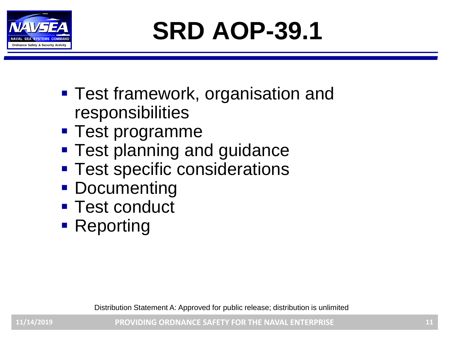

**SRD AOP-39.1**

- Test framework, organisation and responsibilities
- Test programme
- **Test planning and guidance**
- **Test specific considerations**
- Documenting
- Test conduct
- Reporting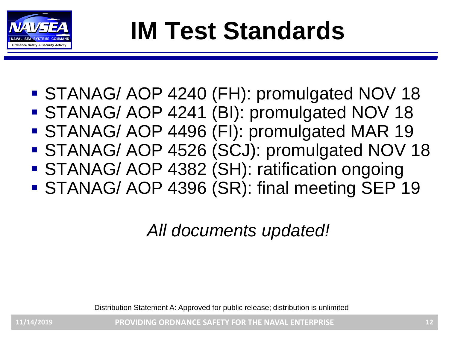

### **IM Test Standards**

- STANAG/ AOP 4240 (FH): promulgated NOV 18
- STANAG/ AOP 4241 (BI): promulgated NOV 18
- STANAG/ AOP 4496 (FI): promulgated MAR 19
- STANAG/ AOP 4526 (SCJ): promulgated NOV 18
- STANAG/ AOP 4382 (SH): ratification ongoing
- STANAG/ AOP 4396 (SR): final meeting SEP 19

#### *All documents updated!*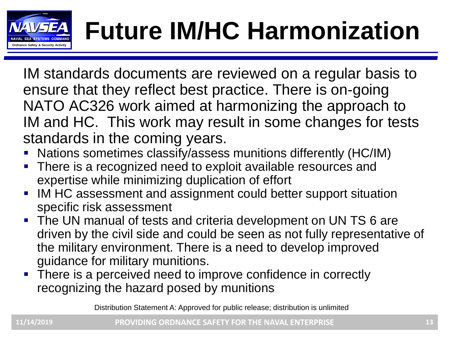

# **Future IM/HC Harmonization**

IM standards documents are reviewed on a regular basis to ensure that they reflect best practice. There is on-going NATO AC326 work aimed at harmonizing the approach to IM and HC. This work may result in some changes for tests standards in the coming years.

- Nations sometimes classify/assess munitions differently (HC/IM)
- **There is a recognized need to exploit available resources and** expertise while minimizing duplication of effort
- IM HC assessment and assignment could better support situation specific risk assessment
- The UN manual of tests and criteria development on UN TS 6 are driven by the civil side and could be seen as not fully representative of the military environment. There is a need to develop improved guidance for military munitions.
- There is a perceived need to improve confidence in correctly recognizing the hazard posed by munitions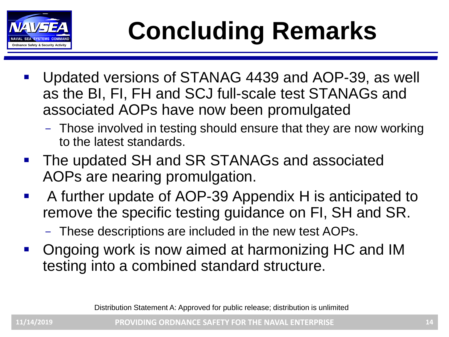

# **ORDING REMARKS**

- Updated versions of STANAG 4439 and AOP-39, as well as the BI, FI, FH and SCJ full-scale test STANAGs and associated AOPs have now been promulgated
	- Those involved in testing should ensure that they are now working to the latest standards.
- The updated SH and SR STANAGs and associated AOPs are nearing promulgation.
- A further update of AOP-39 Appendix H is anticipated to remove the specific testing guidance on FI, SH and SR.
	- These descriptions are included in the new test AOPs.
- Ongoing work is now aimed at harmonizing HC and IM testing into a combined standard structure.